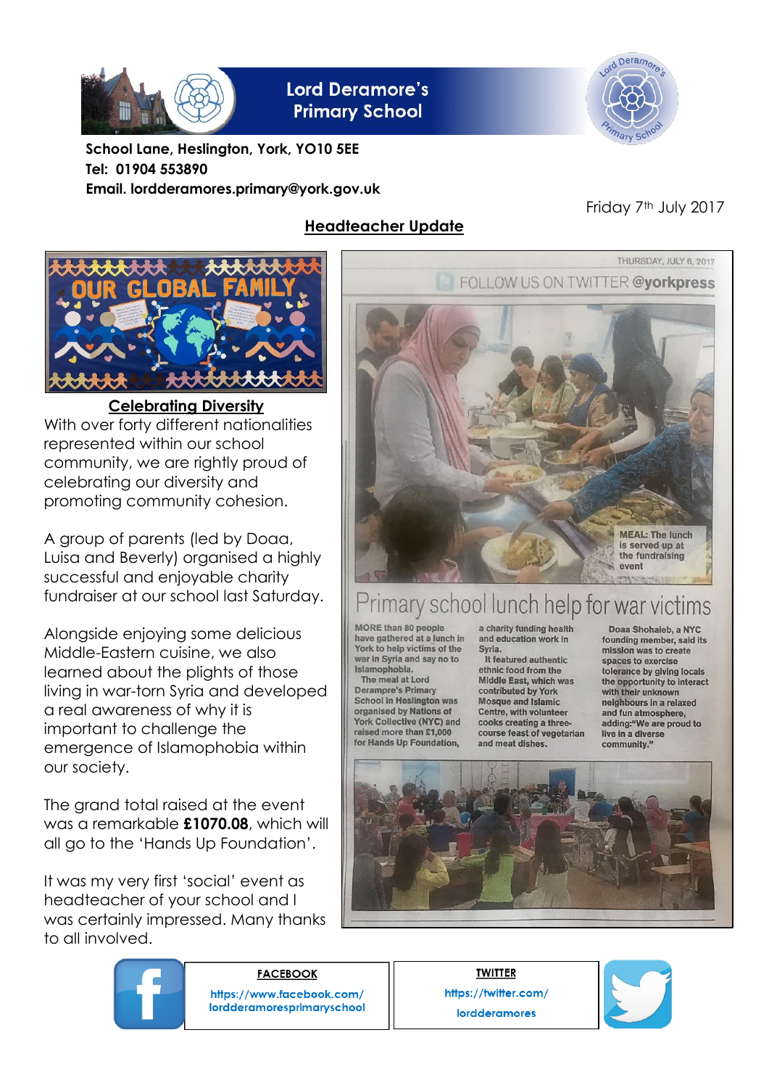

**Lord Deramore's Primary School** 



**School Lane, Heslington, York, YO10 5EE Tel: 01904 553890 Email. lordderamores.primary@york.gov.uk**

# **Headteacher Update**

## Friday 7<sup>th</sup> July 2017



**Celebrating Diversity** With over forty different nationalities represented within our school community, we are rightly proud of celebrating our diversity and promoting community cohesion.

A group of parents (led by Doaa, Luisa and Beverly) organised a highly successful and enjoyable charity fundraiser at our school last Saturday.

Alongside enjoying some delicious Middle-Eastern cuisine, we also learned about the plights of those living in war-torn Syria and developed a real awareness of why it is important to challenge the emergence of Islamophobia within our society.

The grand total raised at the event was a remarkable **£1070.08**, which will all go to the 'Hands Up Foundation'.

It was my very first 'social' event as headteacher of your school and I was certainly impressed. Many thanks to all involved.



# 'rimary school lunch help for war victims

MORE than 80 people have gathered at a lunch in York to help victims of the war in Syria and say no to Islamophobia.

The meal at Lord **Deramore's Primary School in Heslington was** organised by Nations of York Collective (NYC) and raised more than £1,000 for Hands Up Foundation.

a charity funding health and education work in Syria.

It featured authentic ethnic food from the **Middle East, which was** contributed by York<br>Mosque and Islamic Centre, with volunteer cooks creating a threecourse feast of vegetarian and meat dishes.

Doaa Shohaieb, a NYC founding member, said its mission was to create spaces to exercise tolerance by giving locals the opportunity to interact with their unknown neighbours in a relaxed and fun atmosphere. adding:"We are proud to live in a diverse community."





**FACEBOOK** https://www.facebook.com/ lordderamoresprimaryschool

**TWITTER** https://twitter.com/ **lordderamores** 

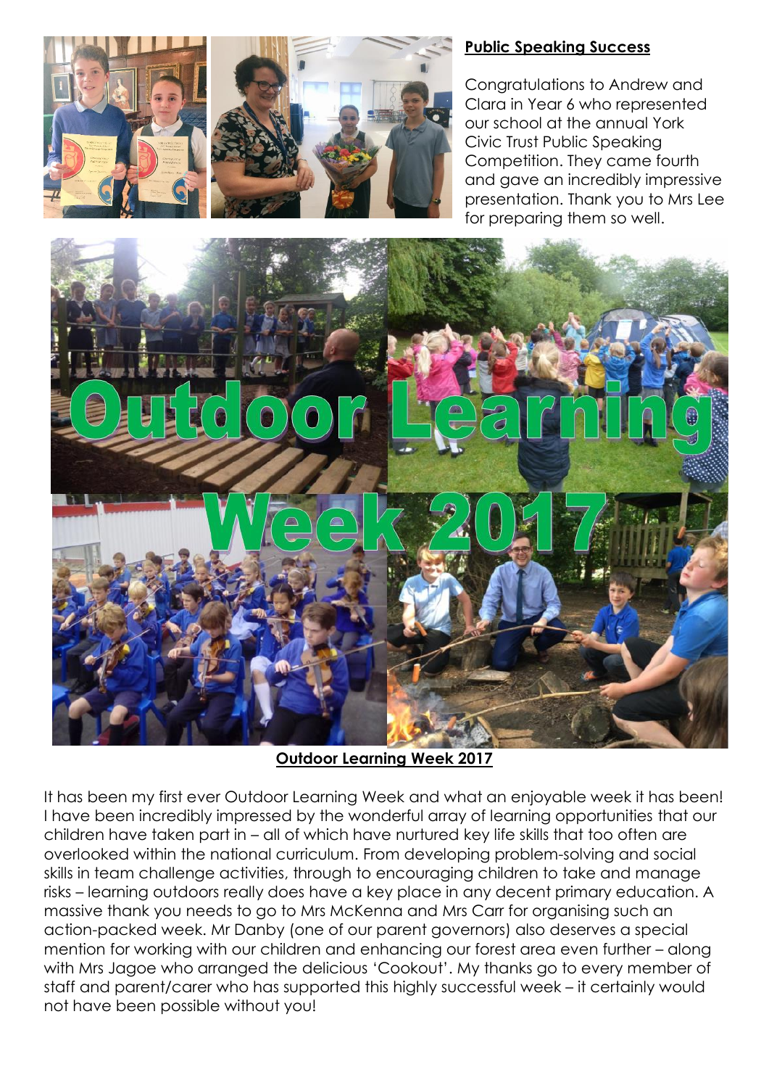

### **Public Speaking Success**

Congratulations to Andrew and Clara in Year 6 who represented our school at the annual York Civic Trust Public Speaking Competition. They came fourth and gave an incredibly impressive presentation. Thank you to Mrs Lee for preparing them so well.



**Outdoor Learning Week 2017**

It has been my first ever Outdoor Learning Week and what an enjoyable week it has been! I have been incredibly impressed by the wonderful array of learning opportunities that our children have taken part in – all of which have nurtured key life skills that too often are overlooked within the national curriculum. From developing problem-solving and social skills in team challenge activities, through to encouraging children to take and manage risks – learning outdoors really does have a key place in any decent primary education. A massive thank you needs to go to Mrs McKenna and Mrs Carr for organising such an action-packed week. Mr Danby (one of our parent governors) also deserves a special mention for working with our children and enhancing our forest area even further – along with Mrs Jagoe who arranged the delicious 'Cookout'. My thanks go to every member of staff and parent/carer who has supported this highly successful week – it certainly would not have been possible without you!